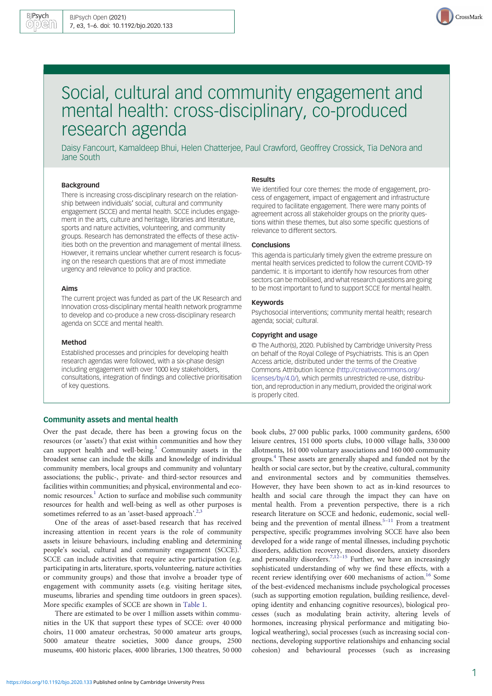

# Social, cultural and community engagement and mental health: cross-disciplinary, co-produced research agenda

Daisy Fancourt, Kamaldeep Bhui, Helen Chatterjee, Paul Crawford, Geoffrey Crossick, Tia DeNora and Jane South

# Background

There is increasing cross-disciplinary research on the relationship between individuals' social, cultural and community engagement (SCCE) and mental health. SCCE includes engagement in the arts, culture and heritage, libraries and literature, sports and nature activities, volunteering, and community groups. Research has demonstrated the effects of these activities both on the prevention and management of mental illness. However, it remains unclear whether current research is focusing on the research questions that are of most immediate urgency and relevance to policy and practice.

#### Aims

The current project was funded as part of the UK Research and Innovation cross-disciplinary mental health network programme to develop and co-produce a new cross-disciplinary research agenda on SCCE and mental health.

#### Method

Established processes and principles for developing health research agendas were followed, with a six-phase design including engagement with over 1000 key stakeholders, consultations, integration of findings and collective prioritisation of key questions.

# Results

We identified four core themes: the mode of engagement, process of engagement, impact of engagement and infrastructure required to facilitate engagement. There were many points of agreement across all stakeholder groups on the priority questions within these themes, but also some specific questions of relevance to different sectors.

### Conclusions

This agenda is particularly timely given the extreme pressure on mental health services predicted to follow the current COVID-19 pandemic. It is important to identify how resources from other sectors can be mobilised, and what research questions are going to be most important to fund to support SCCE for mental health.

#### Keywords

Psychosocial interventions; community mental health; research agenda; social; cultural.

#### Copyright and usage

© The Author(s), 2020. Published by Cambridge University Press on behalf of the Royal College of Psychiatrists. This is an Open Access article, distributed under the terms of the Creative Commons Attribution licence [\(http://creativecommons.org/](http://creativecommons.org/licenses/by/4.0/) [licenses/by/4.0/](http://creativecommons.org/licenses/by/4.0/)), which permits unrestricted re-use, distribution, and reproduction in any medium, provided the original work is properly cited.

## Community assets and mental health

Over the past decade, there has been a growing focus on the resources (or 'assets') that exist within communities and how they can support health and well-being.<sup>1</sup> Community assets in the broadest sense can include the skills and knowledge of individual community members, local groups and community and voluntary associations; the public-, private- and third-sector resources and facilities within communities; and physical, environmental and eco-nomic resources.<sup>[1](#page-4-0)</sup> Action to surface and mobilise such community resources for health and well-being as well as other purposes is sometimes referred to as an 'asset-based approach'.<sup>[2](#page-4-0),[3](#page-4-0)</sup>

One of the areas of asset-based research that has received increasing attention in recent years is the role of community assets in leisure behaviours, including enabling and determining people's social, cultural and community engagement (SCCE).<sup>1</sup> SCCE can include activities that require active participation (e.g. participating in arts, literature, sports, volunteering, nature activities or community groups) and those that involve a broader type of engagement with community assets (e.g. visiting heritage sites, museums, libraries and spending time outdoors in green spaces). More specific examples of SCCE are shown in [Table 1](#page-1-0).

There are estimated to be over 1 million assets within communities in the UK that support these types of SCCE: over 40 000 choirs, 11 000 amateur orchestras, 50 000 amateur arts groups, 5000 amateur theatre societies, 3000 dance groups, 2500 museums, 400 historic places, 4000 libraries, 1300 theatres, 50 000 book clubs, 27 000 public parks, 1000 community gardens, 6500 leisure centres, 151 000 sports clubs, 10 000 village halls, 330 000 allotments, 161 000 voluntary associations and 160 000 community groups.[4](#page-4-0) These assets are generally shaped and funded not by the health or social care sector, but by the creative, cultural, community and environmental sectors and by communities themselves. However, they have been shown to act as in-kind resources to health and social care through the impact they can have on mental health. From a prevention perspective, there is a rich research literature on SCCE and hedonic, eudemonic, social well-being and the prevention of mental illness.<sup>[5](#page-4-0)–[11](#page-4-0)</sup> From a treatment perspective, specific programmes involving SCCE have also been developed for a wide range of mental illnesses, including psychotic disorders, addiction recovery, mood disorders, anxiety disorders and personality disorders.<sup>[7,12](#page-4-0)-[15](#page-4-0)</sup> Further, we have an increasingly sophisticated understanding of why we find these effects, with a recent review identifying over 600 mechanisms of action.<sup>[16](#page-4-0)</sup> Some of the best-evidenced mechanisms include psychological processes (such as supporting emotion regulation, building resilience, developing identity and enhancing cognitive resources), biological processes (such as modulating brain activity, altering levels of hormones, increasing physical performance and mitigating biological weathering), social processes (such as increasing social connections, developing supportive relationships and enhancing social cohesion) and behavioural processes (such as increasing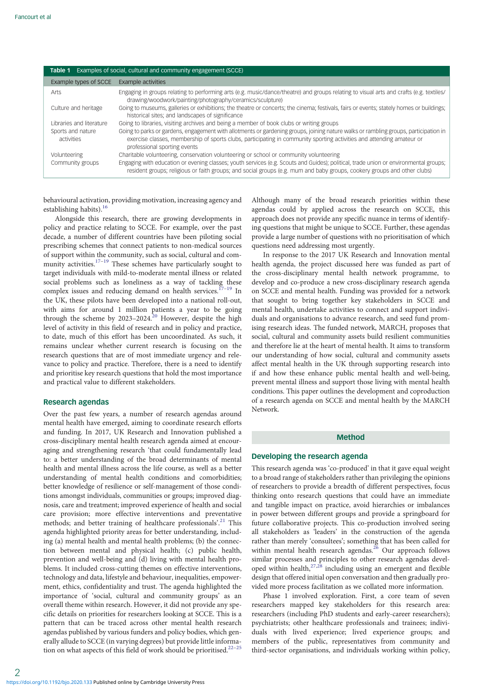<span id="page-1-0"></span>

| Examples of social, cultural and community engagement (SCCE)<br>Table 1 |                                                                                                                                                                                                                                                                                                                                                            |  |  |
|-------------------------------------------------------------------------|------------------------------------------------------------------------------------------------------------------------------------------------------------------------------------------------------------------------------------------------------------------------------------------------------------------------------------------------------------|--|--|
| Example types of SCCE                                                   | <b>Example activities</b>                                                                                                                                                                                                                                                                                                                                  |  |  |
| Arts                                                                    | Engaging in groups relating to performing arts (e.g. music/dance/theatre) and groups relating to visual arts and crafts (e.g. textiles/<br>drawing/woodwork/painting/photography/ceramics/sculpture)                                                                                                                                                       |  |  |
| Culture and heritage                                                    | Going to museums, galleries or exhibitions; the theatre or concerts; the cinema; festivals, fairs or events; stately homes or buildings;<br>historical sites; and landscapes of significance                                                                                                                                                               |  |  |
| <b>Libraries and literature</b>                                         | Going to libraries, visiting archives and being a member of book clubs or writing groups                                                                                                                                                                                                                                                                   |  |  |
| Sports and nature<br>activities                                         | Going to parks or gardens, engagement with allotments or gardening groups, joining nature walks or rambling groups, participation in<br>exercise classes, membership of sports clubs, participating in community sporting activities and attending amateur or<br>professional sporting events                                                              |  |  |
| Volunteering<br>Community groups                                        | Charitable volunteering, conservation volunteering or school or community volunteering<br>Engaging with education or evening classes; youth services (e.g. Scouts and Guides); political, trade union or environmental groups;<br>resident groups; religious or faith groups; and social groups (e.g. mum and baby groups, cookery groups and other clubs) |  |  |

behavioural activation, providing motivation, increasing agency and establishing habits).<sup>1</sup>

Alongside this research, there are growing developments in policy and practice relating to SCCE. For example, over the past decade, a number of different countries have been piloting social prescribing schemes that connect patients to non-medical sources of support within the community, such as social, cultural and com-munity activities.<sup>[17](#page-4-0)–[19](#page-4-0)</sup> These schemes have particularly sought to target individuals with mild-to-moderate mental illness or related social problems such as loneliness as a way of tackling these complex issues and reducing demand on health services.<sup>[17](#page-4-0)-[19](#page-4-0)</sup> In the UK, these pilots have been developed into a national roll-out, with aims for around 1 million patients a year to be going through the scheme by  $2023-2024$  $2023-2024$ .<sup>20</sup> However, despite the high level of activity in this field of research and in policy and practice, to date, much of this effort has been uncoordinated. As such, it remains unclear whether current research is focusing on the research questions that are of most immediate urgency and relevance to policy and practice. Therefore, there is a need to identify and prioritise key research questions that hold the most importance and practical value to different stakeholders.

# Research agendas

Over the past few years, a number of research agendas around mental health have emerged, aiming to coordinate research efforts and funding. In 2017, UK Research and Innovation published a cross-disciplinary mental health research agenda aimed at encouraging and strengthening research 'that could fundamentally lead to: a better understanding of the broad determinants of mental health and mental illness across the life course, as well as a better understanding of mental health conditions and comorbidities; better knowledge of resilience or self-management of those conditions amongst individuals, communities or groups; improved diagnosis, care and treatment; improved experience of health and social care provision; more effective interventions and preventative methods; and better training of healthcare professionals'. [21](#page-4-0) This agenda highlighted priority areas for better understanding, including (a) mental health and mental health problems; (b) the connection between mental and physical health; (c) public health, prevention and well-being and (d) living with mental health problems. It included cross-cutting themes on effective interventions, technology and data, lifestyle and behaviour, inequalities, empowerment, ethics, confidentiality and trust. The agenda highlighted the importance of 'social, cultural and community groups' as an overall theme within research. However, it did not provide any specific details on priorities for researchers looking at SCCE. This is a pattern that can be traced across other mental health research agendas published by various funders and policy bodies, which generally allude to SCCE (in varying degrees) but provide little informa-tion on what aspects of this field of work should be prioritised.<sup>[22](#page-4-0)-[25](#page-5-0)</sup>

Although many of the broad research priorities within these agendas could by applied across the research on SCCE, this approach does not provide any specific nuance in terms of identifying questions that might be unique to SCCE. Further, these agendas provide a large number of questions with no prioritisation of which questions need addressing most urgently.

In response to the 2017 UK Research and Innovation mental health agenda, the project discussed here was funded as part of the cross-disciplinary mental health network programme, to develop and co-produce a new cross-disciplinary research agenda on SCCE and mental health. Funding was provided for a network that sought to bring together key stakeholders in SCCE and mental health, undertake activities to connect and support individuals and organisations to advance research, and seed fund promising research ideas. The funded network, MARCH, proposes that social, cultural and community assets build resilient communities and therefore lie at the heart of mental health. It aims to transform our understanding of how social, cultural and community assets affect mental health in the UK through supporting research into if and how these enhance public mental health and well-being, prevent mental illness and support those living with mental health conditions. This paper outlines the development and coproduction of a research agenda on SCCE and mental health by the MARCH Network.

# Method

# Developing the research agenda

This research agenda was 'co-produced' in that it gave equal weight to a broad range of stakeholders rather than privileging the opinions of researchers to provide a breadth of different perspectives, focus thinking onto research questions that could have an immediate and tangible impact on practice, avoid hierarchies or imbalances in power between different groups and provide a springboard for future collaborative projects. This co-production involved seeing all stakeholders as 'leaders' in the construction of the agenda rather than merely 'consultees'; something that has been called for within mental health research agendas.<sup>[26](#page-5-0)</sup> Our approach follows similar processes and principles to other research agendas developed within health, $27,28$  $27,28$  $27,28$  including using an emergent and flexible design that offered initial open conversation and then gradually provided more process facilitation as we collated more information.

Phase 1 involved exploration. First, a core team of seven researchers mapped key stakeholders for this research area: researchers (including PhD students and early-career researchers); psychiatrists; other healthcare professionals and trainees; individuals with lived experience; lived experience groups; and members of the public, representatives from community and third-sector organisations, and individuals working within policy,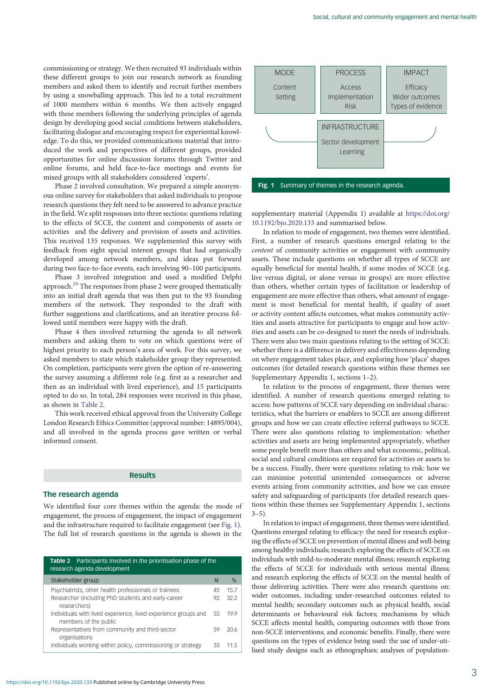commissioning or strategy. We then recruited 93 individuals within these different groups to join our research network as founding members and asked them to identify and recruit further members by using a snowballing approach. This led to a total recruitment of 1000 members within 6 months. We then actively engaged with these members following the underlying principles of agenda design by developing good social conditions between stakeholders, facilitating dialogue and encouraging respect for experiential knowledge. To do this, we provided communications material that introduced the work and perspectives of different groups, provided opportunities for online discussion forums through Twitter and online forums, and held face-to-face meetings and events for mixed groups with all stakeholders considered 'experts'.

Phase 2 involved consultation. We prepared a simple anonymous online survey for stakeholders that asked individuals to propose research questions they felt need to be answered to advance practice in the field. We split responses into three sections: questions relating to the effects of SCCE, the content and components of assets or activities and the delivery and provision of assets and activities. This received 135 responses. We supplemented this survey with feedback from eight special interest groups that had organically developed among network members, and ideas put forward during two face-to-face events, each involving 90–100 participants.

Phase 3 involved integration and used a modified Delphi approach.[29](#page-5-0) The responses from phase 2 were grouped thematically into an initial draft agenda that was then put to the 93 founding members of the network. They responded to the draft with further suggestions and clarifications, and an iterative process followed until members were happy with the draft.

Phase 4 then involved returning the agenda to all network members and asking them to vote on which questions were of highest priority to each person's area of work. For this survey, we asked members to state which stakeholder group they represented. On completion, participants were given the option of re-answering the survey assuming a different role (e.g. first as a researcher and then as an individual with lived experience), and 15 participants opted to do so. In total, 284 responses were received in this phase, as shown in Table 2.

This work received ethical approval from the University College London Research Ethics Committee (approval number: 14895/004), and all involved in the agenda process gave written or verbal informed consent.

### Results

# The research agenda

We identified four core themes within the agenda: the mode of engagement, the process of engagement, the impact of engagement and the infrastructure required to facilitate engagement (see Fig. 1). The full list of research questions in the agenda is shown in the

| <b>Table 2</b> Participants involved in the prioritisation phase of the<br>research agenda development                       |                |            |  |
|------------------------------------------------------------------------------------------------------------------------------|----------------|------------|--|
| Stakeholder group                                                                                                            | $\overline{N}$ | $\%$       |  |
| Psychiatrists, other health professionals or trainees<br>Researcher (including PhD students and early-career<br>researchers) | 45<br>92       | 157<br>322 |  |
| Individuals with lived experience, lived experience groups and<br>members of the public                                      | 55             | 199        |  |
| Representatives from community and third-sector<br>organisations                                                             | 59             | 20.6       |  |
| Individuals working within policy, commissioning or strategy                                                                 | 33             | 11 5       |  |



Fig. 1 Summary of themes in the research agenda.

supplementary material (Appendix 1) available at [https://doi.org/](https://doi.org/10.1192/bjo.2020.133) [10.1192/bjo.2020.133](https://doi.org/10.1192/bjo.2020.133) and summarised below.

In relation to mode of engagement, two themes were identified. First, a number of research questions emerged relating to the content of community activities or engagement with community assets. These include questions on whether all types of SCCE are equally beneficial for mental health, if some modes of SCCE (e.g. live versus digital, or alone versus in groups) are more effective than others, whether certain types of facilitation or leadership of engagement are more effective than others, what amount of engagement is most beneficial for mental health, if quality of asset or activity content affects outcomes, what makes community activities and assets attractive for participants to engage and how activities and assets can be co-designed to meet the needs of individuals. There were also two main questions relating to the setting of SCCE: whether there is a difference in delivery and effectiveness depending on where engagement takes place, and exploring how 'place' shapes outcomes (for detailed research questions within these themes see Supplementary Appendix 1, sections 1–2).

In relation to the process of engagement, three themes were identified. A number of research questions emerged relating to access: how patterns of SCCE vary depending on individual characteristics, what the barriers or enablers to SCCE are among different groups and how we can create effective referral pathways to SCCE. There were also questions relating to implementation: whether activities and assets are being implemented appropriately, whether some people benefit more than others and what economic, political, social and cultural conditions are required for activities or assets to be a success. Finally, there were questions relating to risk: how we can minimise potential unintended consequences or adverse events arising from community activities, and how we can ensure safety and safeguarding of participants (for detailed research questions within these themes see Supplementary Appendix 1, sections  $3 - 5$ ).

In relation to impact of engagement, three themes were identified. Questions emerged relating to efficacy: the need for research exploring the effects of SCCE on prevention of mental illness and well-being among healthy individuals; research exploring the effects of SCCE on individuals with mild-to-moderate mental illness; research exploring the effects of SCCE for individuals with serious mental illness; and research exploring the effects of SCCE on the mental health of those delivering activities. There were also research questions on: wider outcomes, including under-researched outcomes related to mental health; secondary outcomes such as physical health, social determinants or behavioural risk factors; mechanisms by which SCCE affects mental health, comparing outcomes with those from non-SCCE interventions; and economic benefits. Finally, there were questions on the types of evidence being used: the use of under-utilised study designs such as ethnographies; analyses of population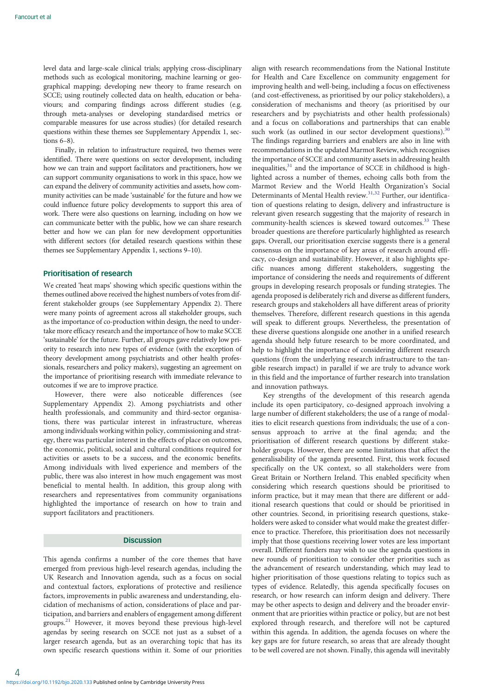level data and large-scale clinical trials; applying cross-disciplinary methods such as ecological monitoring, machine learning or geographical mapping; developing new theory to frame research on SCCE; using routinely collected data on health, education or behaviours; and comparing findings across different studies (e.g. through meta-analyses or developing standardised metrics or comparable measures for use across studies) (for detailed research questions within these themes see Supplementary Appendix 1, sections 6–8).

Finally, in relation to infrastructure required, two themes were identified. There were questions on sector development, including how we can train and support facilitators and practitioners, how we can support community organisations to work in this space, how we can expand the delivery of community activities and assets, how community activities can be made 'sustainable' for the future and how we could influence future policy developments to support this area of work. There were also questions on learning, including on how we can communicate better with the public, how we can share research better and how we can plan for new development opportunities with different sectors (for detailed research questions within these themes see Supplementary Appendix 1, sections 9–10).

# Prioritisation of research

We created 'heat maps' showing which specific questions within the themes outlined above received the highest numbers of votes from different stakeholder groups (see Supplementary Appendix 2). There were many points of agreement across all stakeholder groups, such as the importance of co-production within design, the need to undertake more efficacy research and the importance of how to make SCCE 'sustainable' for the future. Further, all groups gave relatively low priority to research into new types of evidence (with the exception of theory development among psychiatrists and other health professionals, researchers and policy makers), suggesting an agreement on the importance of prioritising research with immediate relevance to outcomes if we are to improve practice.

However, there were also noticeable differences (see Supplementary Appendix 2). Among psychiatrists and other health professionals, and community and third-sector organisations, there was particular interest in infrastructure, whereas among individuals working within policy, commissioning and strategy, there was particular interest in the effects of place on outcomes, the economic, political, social and cultural conditions required for activities or assets to be a success, and the economic benefits. Among individuals with lived experience and members of the public, there was also interest in how much engagement was most beneficial to mental health. In addition, this group along with researchers and representatives from community organisations highlighted the importance of research on how to train and support facilitators and practitioners.

#### **Discussion**

This agenda confirms a number of the core themes that have emerged from previous high-level research agendas, including the UK Research and Innovation agenda, such as a focus on social and contextual factors, explorations of protective and resilience factors, improvements in public awareness and understanding, elucidation of mechanisms of action, considerations of place and participation, and barriers and enablers of engagement among different groups. $21$  However, it moves beyond these previous high-level agendas by seeing research on SCCE not just as a subset of a larger research agenda, but as an overarching topic that has its own specific research questions within it. Some of our priorities

align with research recommendations from the National Institute for Health and Care Excellence on community engagement for improving health and well-being, including a focus on effectiveness (and cost-effectiveness, as prioritised by our policy stakeholders), a consideration of mechanisms and theory (as prioritised by our researchers and by psychiatrists and other health professionals) and a focus on collaborations and partnerships that can enable such work (as outlined in our sector development questions). $30$ The findings regarding barriers and enablers are also in line with recommendations in the updated Marmot Review, which recognises the importance of SCCE and community assets in addressing health inequalities, $31$  and the importance of SCCE in childhood is highlighted across a number of themes, echoing calls both from the Marmot Review and the World Health Organization's Social Determinants of Mental Health review.<sup>[31,32](#page-5-0)</sup> Further, our identification of questions relating to design, delivery and infrastructure is relevant given research suggesting that the majority of research in community-health sciences is skewed toward outcomes.<sup>[33](#page-5-0)</sup> These broader questions are therefore particularly highlighted as research gaps. Overall, our prioritisation exercise suggests there is a general consensus on the importance of key areas of research around efficacy, co-design and sustainability. However, it also highlights specific nuances among different stakeholders, suggesting the importance of considering the needs and requirements of different groups in developing research proposals or funding strategies. The agenda proposed is deliberately rich and diverse as different funders, research groups and stakeholders all have different areas of priority themselves. Therefore, different research questions in this agenda will speak to different groups. Nevertheless, the presentation of these diverse questions alongside one another in a unified research agenda should help future research to be more coordinated, and help to highlight the importance of considering different research questions (from the underlying research infrastructure to the tangible research impact) in parallel if we are truly to advance work in this field and the importance of further research into translation and innovation pathways.

Key strengths of the development of this research agenda include its open participatory, co-designed approach involving a large number of different stakeholders; the use of a range of modalities to elicit research questions from individuals; the use of a consensus approach to arrive at the final agenda; and the prioritisation of different research questions by different stakeholder groups. However, there are some limitations that affect the generalisability of the agenda presented. First, this work focused specifically on the UK context, so all stakeholders were from Great Britain or Northern Ireland. This enabled specificity when considering which research questions should be prioritised to inform practice, but it may mean that there are different or additional research questions that could or should be prioritised in other countries. Second, in prioritising research questions, stakeholders were asked to consider what would make the greatest difference to practice. Therefore, this prioritisation does not necessarily imply that those questions receiving lower votes are less important overall. Different funders may wish to use the agenda questions in new rounds of prioritisation to consider other priorities such as the advancement of research understanding, which may lead to higher prioritisation of those questions relating to topics such as types of evidence. Relatedly, this agenda specifically focuses on research, or how research can inform design and delivery. There may be other aspects to design and delivery and the broader environment that are priorities within practice or policy, but are not best explored through research, and therefore will not be captured within this agenda. In addition, the agenda focuses on where the key gaps are for future research, so areas that are already thought to be well covered are not shown. Finally, this agenda will inevitably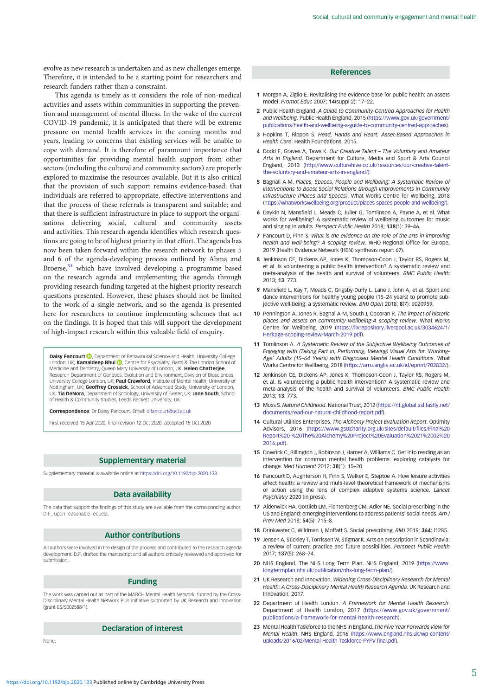<span id="page-4-0"></span>evolve as new research is undertaken and as new challenges emerge. Therefore, it is intended to be a starting point for researchers and research funders rather than a constraint.

This agenda is timely as it considers the role of non-medical activities and assets within communities in supporting the prevention and management of mental illness. In the wake of the current COVID-19 pandemic, it is anticipated that there will be extreme pressure on mental health services in the coming months and years, leading to concerns that existing services will be unable to cope with demand. It is therefore of paramount importance that opportunities for providing mental health support from other sectors (including the cultural and community sectors) are properly explored to maximise the resources available. But it is also critical that the provision of such support remains evidence-based: that individuals are referred to appropriate, effective interventions and that the process of these referrals is transparent and suitable; and that there is sufficient infrastructure in place to support the organisations delivering social, cultural and community assets and activities. This research agenda identifies which research questions are going to be of highest priority in that effort. The agenda has now been taken forward within the research network to phases 5 and 6 of the agenda-developing process outlined by Abma and Broerse,<sup>[34](#page-5-0)</sup> which have involved developing a programme based on the research agenda and implementing the agenda through providing research funding targeted at the highest priority research questions presented. However, these phases should not be limited to the work of a single network, and so the agenda is presented here for researchers to continue implementing schemes that act on the findings. It is hoped that this will support the development of high-impact research within this valuable field of enquiry.

Daisy Fancourt **D**, Department of Behavioural Science and Health, University College London[,](https://orcid.org/0000-0002-9205-2144) UK; **Kamaldeep Bhui D**, Centre for Psychiatry, Barts & The London School of Medicine and Dentistry, Queen Mary University of London, UK; Helen Chatterjee, Research Department of Genetics, Evolution and Environment, Division of Biosciences, University College London, UK; Paul Crawford, Institute of Mental Health, University of Nottingham, UK; Geoffrey Crossick, School of Advanced Study, University of London, UK; Tia DeNora, Department of Sociology, University of Exeter, UK; Jane South, School of Health & Community Studies, Leeds Beckett University, UK

Correspondence: Dr Daisy Fancourt. Email: [d.fancourt@ucl.ac.uk](mailto:d.fancourt@ucl.ac.uk)

First received 15 Apr 2020, final revision 12 Oct 2020, accepted 15 Oct 2020

#### Supplementary material

Supplementary material is available online at <https://doi.org/10.1192/bjo.2020.133>.

#### Data availability

The data that support the findings of this study are available from the corresponding author, D.F., upon reasonable request.

#### Author contributions

All authors were involved in the design of the process and contributed to the research agenda development. D.F. drafted the manuscript and all authors critically reviewed and approved for submission.

# Funding

The work was carried out as part of the MARCH Mental Health Network, funded by the Cross-Disciplinary Mental Health Network Plus initiative supported by UK Research and Innovation (grant ES/S002588/1).

# Declaration of interest

None.

# References

- 1 Morgan A, Ziglio E. Revitalising the evidence base for public health: an assets model. Promot Educ 2007; 14(suppl 2): 17–22.
- 2 Public Health England. A Guide to Community-Centred Approaches for Health and Wellbeing. Public Health England, 2015 [\(https://www.gov.uk/government/](https://www.gov.uk/government/publications/health-and-wellbeing-a-guide-to-community-centred-approaches) [publications/health-and-wellbeing-a-guide-to-community-centred-approaches](https://www.gov.uk/government/publications/health-and-wellbeing-a-guide-to-community-centred-approaches)).
- 3 Hopkins T, Rippon S. Head, Hands and Heart: Asset-Based Approaches in Health Care. Health Foundations, 2015.
- 4 Dodd F, Graves A, Taws K. Our Creative Talent The Voluntary and Amateur Arts in England. Department for Culture, Media and Sport & Arts Council England, 2013 [\(http://www.culturehive.co.uk/resources/our-creative-talent](http://www.culturehive.co.uk/resources/our-creative-talent-the-voluntary-and-amateur-arts-in-england/))[the-voluntary-and-amateur-arts-in-england/\)](http://www.culturehive.co.uk/resources/our-creative-talent-the-voluntary-and-amateur-arts-in-england/)).
- 5 Bagnall A-M. Places, Spaces, People and Wellbeing: A Systematic Review of Interventions to Boost Social Relations through Improvements in Community Infrastructure (Places and Spaces). What Works Centre for Wellbeing, 2018 [\(https://whatworkswellbeing.org/product/places-spaces-people-and-wellbeing/\)](https://whatworkswellbeing.org/product/places-spaces-people-and-wellbeing/)).
- 6 Daykin N, Mansfield L, Meads C, Julier G, Tomlinson A, Payne A, et al. What works for wellbeing? A systematic review of wellbeing outcomes for music and singing in adults. Perspect Public Health 2018; 138(1): 39–46.
- 7 Fancourt D, Finn S. What is the evidence on the role of the arts in improving health and well-being? A scoping review. WHO Regional Office for Europe, 2019 (Health Evidence Network (HEN) synthesis report 67).
- 8 Jenkinson CE, Dickens AP, Jones K, Thompson-Coon J, Taylor RS, Rogers M, et al. Is volunteering a public health intervention? A systematic review and meta-analysis of the health and survival of volunteers. BMC Public Health 2013; 13: 773.
- 9 Mansfield L, Kay T, Meads C, Grigsby-Duffy L, Lane J, John A, et al. Sport and dance interventions for healthy young people (15–24 years) to promote subjective well-being: a systematic review. BMJ Open 2018; 8(7): e020959.
- 10 Pennington A, Jones R, Bagnal A-M, South J, Cocoran R. The impact of historic places and assets on community wellbeing-A scoping review. What Works Centre for Wellbeing, 2019 [\(https://livrepository.liverpool.ac.uk/3034624/1/](https://livrepository.liverpool.ac.uk/3034624/1/Heritage-scoping-review-March-2019.pdf) [Heritage-scoping-review-March-2019.pdf\)](https://livrepository.liverpool.ac.uk/3034624/1/Heritage-scoping-review-March-2019.pdf).
- 11 Tomlinson A. A Systematic Review of the Subjective Wellbeing Outcomes of Engaging with (Taking Part in, Performing, Viewing) Visual Arts for 'Working-Age' Adults (15–64 Years) with Diagnosed Mental Health Conditions. What Works Centre for Wellbeing, 2018 ([https://arro.anglia.ac.uk/id/eprint/702832/\)](https://arro.anglia.ac.uk/id/eprint/702832/).
- 12 Jenkinson CE, Dickens AP, Jones K, Thompson-Coon J, Taylor RS, Rogers M, et al. Is volunteering a public health intervention? A systematic review and meta-analysis of the health and survival of volunteers. BMC Public Health 2013; 13: 773.
- 13 Moss S. Natural Childhood. National Trust, 2012 [\(https://nt.global.ssl.fastly.net/](https://nt.global.ssl.fastly.net/documents/read-our-natural-childhood-report.pdf) [documents/read-our-natural-childhood-report.pdf](https://nt.global.ssl.fastly.net/documents/read-our-natural-childhood-report.pdf)).
- 14 Cultural Utilities Enterprises. The Alchemy Project Evaluation Report. Optimity Advisors, 2016 [\(https://www.gsttcharity.org.uk/sites/default/files/Final%20](https://www.gsttcharity.org.uk/sites/default/files/Final%20Report%20-%20The%20Alchemy%20Project%20Evaluation%2021%2002%202016.pdf) [Report%20-%20The%20Alchemy%20Project%20Evaluation%2021%2002%20](https://www.gsttcharity.org.uk/sites/default/files/Final%20Report%20-%20The%20Alchemy%20Project%20Evaluation%2021%2002%202016.pdf) [2016.pdf\)](https://www.gsttcharity.org.uk/sites/default/files/Final%20Report%20-%20The%20Alchemy%20Project%20Evaluation%2021%2002%202016.pdf).
- 15 Dowrick C, Billington J, Robinson J, Hamer A, Williams C. Get into reading as an intervention for common mental health problems: exploring catalysts for change. Med Humanit 2012; 38(1): 15–20.
- 16 Fancourt D, Aughterson H, Finn S, Walker E, Steptoe A. How leisure activities affect health: a review and multi-level theoretical framework of mechanisms of action using the lens of complex adaptive systems science. Lancet Psychiatry 2020 (in press).
- 17 Alderwick HA, Gottlieb LM, Fichtenberg CM, Adler NE. Social prescribing in the US and England: emerging interventions to address patients' social needs. Am J Prev Med 2018; 54(5): 715–8.
- 18 Drinkwater C, Wildman J, Moffatt S. Social prescribing. BMJ 2019; 364: l1285.
- 19 Jensen A, Stickley T, Torrissen W, Stigmar K. Arts on prescription in Scandinavia: a review of current practice and future possibilities. Perspect Public Health 2017; 137(5): 268–74.
- 20 NHS England. The NHS Long Term Plan. NHS England, 2019 [\(https://www.](https://www.longtermplan.nhs.uk/publication/nhs-long-term-plan/)) [longtermplan.nhs.uk/publication/nhs-long-term-plan/\)](https://www.longtermplan.nhs.uk/publication/nhs-long-term-plan/)).
- 21 UK Research and Innovation. Widening Cross-Disciplinary Research for Mental Health: A Cross-Disciplinary Mental Health Research Agenda. UK Research and Innovation, 2017.
- 22 Department of Health London. A Framework for Mental Health Research. Department of Health London, 2017 ([https://www.gov.uk/government/](https://www.gov.uk/government/publications/a-framework-for-mental-health-research) [publications/a-framework-for-mental-health-research\)](https://www.gov.uk/government/publications/a-framework-for-mental-health-research).
- 23 Mental Health Taskforce to the NHS in England. The Five Year Forwards View for Mental Health. NHS England, 2016 [\(https://www.england.nhs.uk/wp-content/](https://www.england.nhs.uk/wp-content/uploads/2016/02/Mental-Health-Taskforce-FYFV-final.pdf) [uploads/2016/02/Mental-Health-Taskforce-FYFV-final.pdf\)](https://www.england.nhs.uk/wp-content/uploads/2016/02/Mental-Health-Taskforce-FYFV-final.pdf).